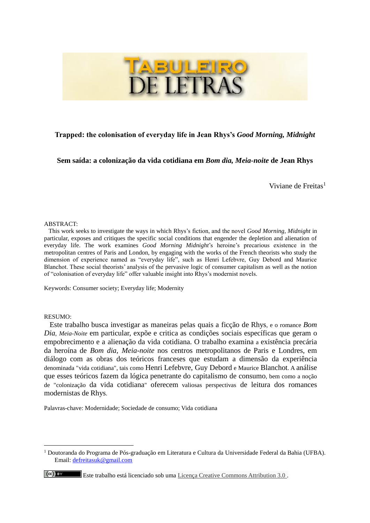

# **Trapped: the colonisation of everyday life in Jean Rhys's** *Good Morning, Midnight*

## **Sem saída: a colonização da vida cotidiana em** *Bom dia, Meia-noite* **de Jean Rhys**

Viviane de Freitas<sup>1</sup>

#### ABSTRACT:

 This work seeks to investigate the ways in which Rhys's fiction, and the novel *Good Morning, Midnight* in particular, exposes and critiques the specific social conditions that engender the depletion and alienation of everyday life. The work examines *Good Morning Midnight*'s heroine's precarious existence in the metropolitan centres of Paris and London, by engaging with the works of the French theorists who study the dimension of experience named as "everyday life", such as Henri Lefebvre, Guy Debord and Maurice Blanchot. These social theorists' analysis of the pervasive logic of consumer capitalism as well as the notion of "colonisation of everyday life" offer valuable insight into Rhys's modernist novels.

Keywords: Consumer society; Everyday life; Modernity

#### RESUMO:

 $\overline{a}$ 

 $\left(\mathrm{cc}\right)$  BY

 Este trabalho busca investigar as maneiras pelas quais a ficção de Rhys, e o romance *Bom Dia, Meia-Noite* em particular, expõe e critica as condições sociais específicas que geram o empobrecimento e a alienação da vida cotidiana. O trabalho examina a existência precária da heroína de *Bom dia, Meia-noite* nos centros metropolitanos de Paris e Londres, em diálogo com as obras dos teóricos franceses que estudam a dimensão da experiência denominada "vida cotidiana", tais como Henri Lefebvre, Guy Debord e Maurice Blanchot. A análise que esses teóricos fazem da lógica penetrante do capitalismo de consumo, bem como a noção de "colonização da vida cotidiana" oferecem valiosas perspectivas de leitura dos romances modernistas de Rhys.

Palavras-chave: Modernidade; Sociedade de consumo; Vida cotidiana

<sup>1</sup> Doutoranda do Programa de Pós-graduação em Literatura e Cultura da Universidade Federal da Bahia (UFBA). Email: [defreitasuk@gmail.com](mailto:defreitasuk@gmail.com)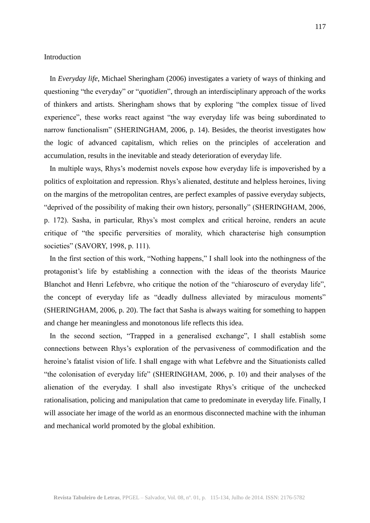### Introduction

 In *Everyday life*, Michael Sheringham (2006) investigates a variety of ways of thinking and questioning "the everyday" or "*quotidien*", through an interdisciplinary approach of the works of thinkers and artists. Sheringham shows that by exploring "the complex tissue of lived experience", these works react against "the way everyday life was being subordinated to narrow functionalism" (SHERINGHAM, 2006, p. 14). Besides, the theorist investigates how the logic of advanced capitalism, which relies on the principles of acceleration and accumulation, results in the inevitable and steady deterioration of everyday life.

 In multiple ways, Rhys's modernist novels expose how everyday life is impoverished by a politics of exploitation and repression. Rhys's alienated, destitute and helpless heroines, living on the margins of the metropolitan centres, are perfect examples of passive everyday subjects, "deprived of the possibility of making their own history, personally" (SHERINGHAM, 2006, p. 172). Sasha, in particular, Rhys's most complex and critical heroine, renders an acute critique of "the specific perversities of morality, which characterise high consumption societies" (SAVORY, 1998, p. 111).

 In the first section of this work, "Nothing happens," I shall look into the nothingness of the protagonist's life by establishing a connection with the ideas of the theorists Maurice Blanchot and Henri Lefebvre, who critique the notion of the "chiaroscuro of everyday life", the concept of everyday life as "deadly dullness alleviated by miraculous moments" (SHERINGHAM, 2006, p. 20). The fact that Sasha is always waiting for something to happen and change her meaningless and monotonous life reflects this idea.

 In the second section, "Trapped in a generalised exchange", I shall establish some connections between Rhys's exploration of the pervasiveness of commodification and the heroine's fatalist vision of life. I shall engage with what Lefebvre and the Situationists called "the colonisation of everyday life" (SHERINGHAM, 2006, p. 10) and their analyses of the alienation of the everyday. I shall also investigate Rhys's critique of the unchecked rationalisation, policing and manipulation that came to predominate in everyday life. Finally, I will associate her image of the world as an enormous disconnected machine with the inhuman and mechanical world promoted by the global exhibition.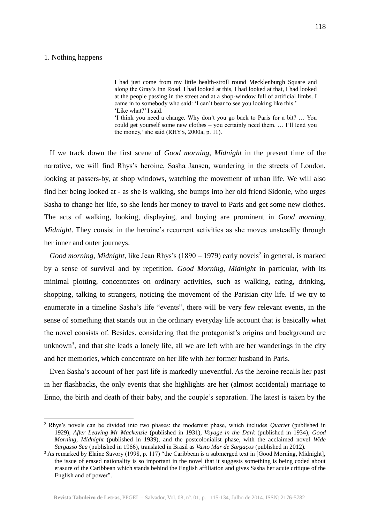### 1. Nothing happens

 $\overline{a}$ 

I had just come from my little health-stroll round Mecklenburgh Square and along the Gray's Inn Road. I had looked at this, I had looked at that, I had looked at the people passing in the street and at a shop-window full of artificial limbs. I came in to somebody who said: 'I can't bear to see you looking like this.' 'Like what?' I said.

'I think you need a change. Why don't you go back to Paris for a bit? … You could get yourself some new clothes – you certainly need them. … I'll lend you the money,' she said (RHYS, 2000a, p. 11).

 If we track down the first scene of *Good morning, Midnight* in the present time of the narrative, we will find Rhys's heroine, Sasha Jansen, wandering in the streets of London, looking at passers-by, at shop windows, watching the movement of urban life. We will also find her being looked at - as she is walking, she bumps into her old friend Sidonie, who urges Sasha to change her life, so she lends her money to travel to Paris and get some new clothes. The acts of walking, looking, displaying, and buying are prominent in *Good morning, Midnight*. They consist in the heroine's recurrent activities as she moves unsteadily through her inner and outer journeys.

*Good morning, Midnight, like Jean Rhys's* (1890 – 1979) early novels<sup>2</sup> in general, is marked by a sense of survival and by repetition. *Good Morning, Midnight* in particular, with its minimal plotting, concentrates on ordinary activities, such as walking, eating, drinking, shopping, talking to strangers, noticing the movement of the Parisian city life. If we try to enumerate in a timeline Sasha's life "events", there will be very few relevant events, in the sense of something that stands out in the ordinary everyday life account that is basically what the novel consists of. Besides, considering that the protagonist's origins and background are unknown<sup>3</sup>, and that she leads a lonely life, all we are left with are her wanderings in the city and her memories, which concentrate on her life with her former husband in Paris.

 Even Sasha's account of her past life is markedly uneventful. As the heroine recalls her past in her flashbacks, the only events that she highlights are her (almost accidental) marriage to Enno, the birth and death of their baby, and the couple's separation. The latest is taken by the

<sup>2</sup> Rhys's novels can be divided into two phases: the modernist phase, which includes *Quartet* (published in 1929), *After Leaving Mr Mackenzie* (published in 1931), *Voyage in the Dark* (published in 1934), *Good Morning, Midnight* (published in 1939), and the postcolonialist phase, with the acclaimed novel *Wide Sargasso Sea* (published in 1966)*,* translated in Brasil as *Vasto Mar de Sargaços* (published in 2012).

<sup>&</sup>lt;sup>3</sup> As remarked by Elaine Savory (1998, p. 117) "the Caribbean is a submerged text in [Good Morning, Midnight], the issue of erased nationality is so important in the novel that it suggests something is being coded about erasure of the Caribbean which stands behind the English affiliation and gives Sasha her acute critique of the English and of power".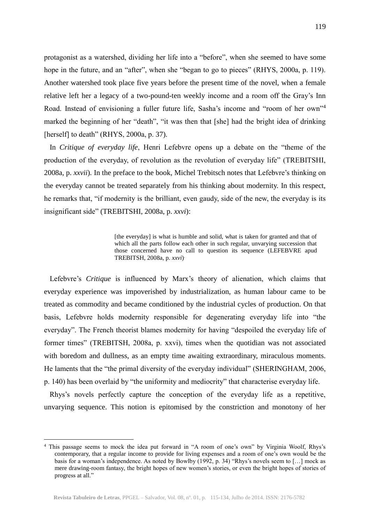protagonist as a watershed, dividing her life into a "before", when she seemed to have some hope in the future, and an "after", when she "began to go to pieces" (RHYS, 2000a, p. 119). Another watershed took place five years before the present time of the novel, when a female relative left her a legacy of a two-pound-ten weekly income and a room off the Gray's Inn Road. Instead of envisioning a fuller future life, Sasha's income and "room of her own"<sup>4</sup> marked the beginning of her "death", "it was then that [she] had the bright idea of drinking [herself] to death" (RHYS, 2000a, p. 37).

 In *Critique of everyday life*, Henri Lefebvre opens up a debate on the "theme of the production of the everyday, of revolution as the revolution of everyday life" (TREBITSHI, 2008a, p. *xxvii*)*.* In the preface to the book, Michel Trebitsch notes that Lefebvre's thinking on the everyday cannot be treated separately from his thinking about modernity. In this respect, he remarks that, "if modernity is the brilliant, even gaudy, side of the new, the everyday is its insignificant side" (TREBITSHI, 2008a, p. *xxvi*):

> [the everyday] is what is humble and solid, what is taken for granted and that of which all the parts follow each other in such regular, unvarying succession that those concerned have no call to question its sequence (LEFEBVRE apud TREBITSH, 2008a, p. *xxvi*) .

 Lefebvre's *Critique* is influenced by Marx's theory of alienation, which claims that everyday experience was impoverished by industrialization, as human labour came to be treated as commodity and became conditioned by the industrial cycles of production. On that basis, Lefebvre holds modernity responsible for degenerating everyday life into "the everyday". The French theorist blames modernity for having "despoiled the everyday life of former times" (TREBITSH, 2008a, p. xxvi), times when the quotidian was not associated with boredom and dullness, as an empty time awaiting extraordinary, miraculous moments. He laments that the "the primal diversity of the everyday individual" (SHERINGHAM, 2006, p. 140) has been overlaid by "the uniformity and mediocrity" that characterise everyday life.

 Rhys's novels perfectly capture the conception of the everyday life as a repetitive, unvarying sequence. This notion is epitomised by the constriction and monotony of her

<sup>4</sup> This passage seems to mock the idea put forward in "A room of one's own" by Virginia Woolf, Rhys's contemporary, that a regular income to provide for living expenses and a room of one's own would be the basis for a woman's independence. As noted by Bowlby (1992, p. 34) "Rhys's novels seem to […] mock as mere drawing-room fantasy, the bright hopes of new women's stories, or even the bright hopes of stories of progress at all."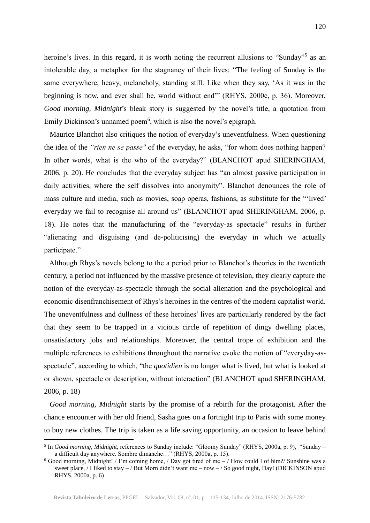heroine's lives. In this regard, it is worth noting the recurrent allusions to "Sunday"<sup>5</sup> as an intolerable day, a metaphor for the stagnancy of their lives: "The feeling of Sunday is the same everywhere, heavy, melancholy, standing still. Like when they say, 'As it was in the beginning is now, and ever shall be, world without end"' (RHYS, 2000c, p. 36). Moreover, *Good morning, Midnight*'s bleak story is suggested by the novel's title, a quotation from Emily Dickinson's unnamed poem<sup>6</sup>, which is also the novel's epigraph.

 Maurice Blanchot also critiques the notion of everyday's uneventfulness. When questioning the idea of the *"rien ne se passe"* of the everyday, he asks, "for whom does nothing happen? In other words, what is the who of the everyday?" (BLANCHOT apud SHERINGHAM, 2006, p. 20). He concludes that the everyday subject has "an almost passive participation in daily activities, where the self dissolves into anonymity". Blanchot denounces the role of mass culture and media, such as movies, soap operas, fashions, as substitute for the "'lived' everyday we fail to recognise all around us" (BLANCHOT apud SHERINGHAM, 2006, p. 18). He notes that the manufacturing of the "everyday-as spectacle" results in further "alienating and disguising (and de-politicising) the everyday in which we actually participate."

 Although Rhys's novels belong to the a period prior to Blanchot's theories in the twentieth century, a period not influenced by the massive presence of television, they clearly capture the notion of the everyday-as-spectacle through the social alienation and the psychological and economic disenfranchisement of Rhys's heroines in the centres of the modern capitalist world. The uneventfulness and dullness of these heroines' lives are particularly rendered by the fact that they seem to be trapped in a vicious circle of repetition of dingy dwelling places, unsatisfactory jobs and relationships. Moreover, the central trope of exhibition and the multiple references to exhibitions throughout the narrative evoke the notion of "everyday-asspectacle", according to which, "the *quotidien* is no longer what is lived, but what is looked at or shown, spectacle or description, without interaction" (BLANCHOT apud SHERINGHAM, 2006, p. 18)

 *Good morning, Midnight* starts by the promise of a rebirth for the protagonist. After the chance encounter with her old friend, Sasha goes on a fortnight trip to Paris with some money to buy new clothes. The trip is taken as a life saving opportunity, an occasion to leave behind

<sup>5</sup> In *Good morning, Midnight*, references to Sunday include: "Gloomy Sunday" (RHYS, 2000a, p. 9), "Sunday – a difficult day anywhere. Sombre dimanche…" (RHYS, 2000a, p. 15).

<sup>6</sup> Good morning, Midnight! / I'm coming home, / Day got tired of me – / How could I of him?/ Sunshine was a sweet place, / I liked to stay – / But Morn didn't want me – now – / So good night, Day! (DICKINSON apud RHYS, 2000a, p. 6)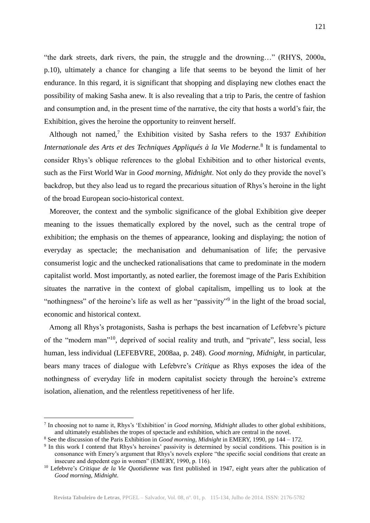"the dark streets, dark rivers, the pain, the struggle and the drowning…" (RHYS, 2000a, p.10), ultimately a chance for changing a life that seems to be beyond the limit of her endurance. In this regard, it is significant that shopping and displaying new clothes enact the possibility of making Sasha anew. It is also revealing that a trip to Paris, the centre of fashion and consumption and, in the present time of the narrative, the city that hosts a world's fair, the Exhibition, gives the heroine the opportunity to reinvent herself.

Although not named,<sup>7</sup> the Exhibition visited by Sasha refers to the 1937 *Exhibition Internationale des Arts et des Techniques Appliqués à la Vie Moderne.*<sup>8</sup> It is fundamental to consider Rhys's oblique references to the global Exhibition and to other historical events, such as the First World War in *Good morning, Midnight*. Not only do they provide the novel's backdrop, but they also lead us to regard the precarious situation of Rhys's heroine in the light of the broad European socio-historical context.

 Moreover, the context and the symbolic significance of the global Exhibition give deeper meaning to the issues thematically explored by the novel, such as the central trope of exhibition; the emphasis on the themes of appearance, looking and displaying; the notion of everyday as spectacle; the mechanisation and dehumanisation of life; the pervasive consumerist logic and the unchecked rationalisations that came to predominate in the modern capitalist world. Most importantly, as noted earlier, the foremost image of the Paris Exhibition situates the narrative in the context of global capitalism, impelling us to look at the "nothingness" of the heroine's life as well as her "passivity"<sup>9</sup> in the light of the broad social, economic and historical context.

 Among all Rhys's protagonists, Sasha is perhaps the best incarnation of Lefebvre's picture of the "modern man"<sup>10</sup> , deprived of social reality and truth, and "private", less social, less human, less individual (LEFEBVRE, 2008aa, p. 248). *Good morning, Midnight,* in particular, bears many traces of dialogue with Lefebvre's *Critique* as Rhys exposes the idea of the nothingness of everyday life in modern capitalist society through the heroine's extreme isolation, alienation, and the relentless repetitiveness of her life.

<sup>7</sup> In choosing not to name it, Rhys's 'Exhibition' in *Good morning, Midnight* alludes to other global exhibitions, and ultimately establishes the tropes of spectacle and exhibition, which are central in the novel.

<sup>8</sup> See the discussion of the Paris Exhibition in *Good morning, Midnight* in EMERY, 1990, pp 144 – 172.

<sup>9</sup> In this work I contend that Rhys's heroines' passivity is determined by social conditions. This position is in consonance with Emery's argument that Rhys's novels explore "the specific social conditions that create an insecure and depedent ego in women" (EMERY, 1990, p. 116).

<sup>&</sup>lt;sup>10</sup> Lefebvre's *Critique de la Vie Quotidienne* was first published in 1947, eight years after the publication of *Good morning, Midnight*.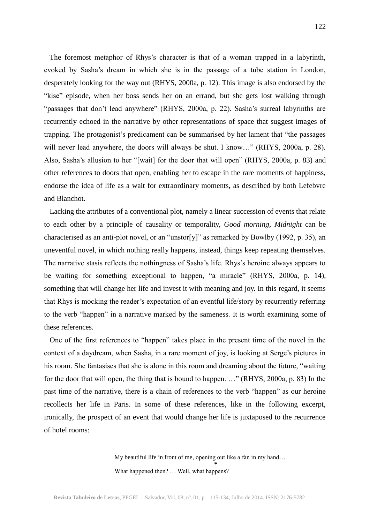The foremost metaphor of Rhys's character is that of a woman trapped in a labyrinth, evoked by Sasha's dream in which she is in the passage of a tube station in London, desperately looking for the way out (RHYS, 2000a, p. 12). This image is also endorsed by the "kise" episode, when her boss sends her on an errand, but she gets lost walking through "passages that don't lead anywhere" (RHYS, 2000a, p. 22). Sasha's surreal labyrinths are recurrently echoed in the narrative by other representations of space that suggest images of trapping. The protagonist's predicament can be summarised by her lament that "the passages will never lead anywhere, the doors will always be shut. I know..." (RHYS, 2000a, p. 28). Also, Sasha's allusion to her "[wait] for the door that will open" (RHYS, 2000a, p. 83) and other references to doors that open, enabling her to escape in the rare moments of happiness, endorse the idea of life as a wait for extraordinary moments, as described by both Lefebvre and Blanchot.

 Lacking the attributes of a conventional plot, namely a linear succession of events that relate to each other by a principle of causality or temporality, *Good morning, Midnight* can be characterised as an anti-plot novel, or an "unstor[y]" as remarked by Bowlby (1992, p. 35), an uneventful novel, in which nothing really happens, instead, things keep repeating themselves. The narrative stasis reflects the nothingness of Sasha's life. Rhys's heroine always appears to be waiting for something exceptional to happen, "a miracle" (RHYS, 2000a, p. 14), something that will change her life and invest it with meaning and joy. In this regard, it seems that Rhys is mocking the reader's expectation of an eventful life/story by recurrently referring to the verb "happen" in a narrative marked by the sameness. It is worth examining some of these references.

 One of the first references to "happen" takes place in the present time of the novel in the context of a daydream, when Sasha, in a rare moment of joy, is looking at Serge's pictures in his room. She fantasises that she is alone in this room and dreaming about the future, "waiting for the door that will open, the thing that is bound to happen. …" (RHYS, 2000a, p. 83) In the past time of the narrative, there is a chain of references to the verb "happen" as our heroine recollects her life in Paris. In some of these references, like in the following excerpt, ironically, the prospect of an event that would change her life is juxtaposed to the recurrence of hotel rooms:

> My beautiful life in front of me, opening out like a fan in my hand… **\*** What happened then? … Well, what happens?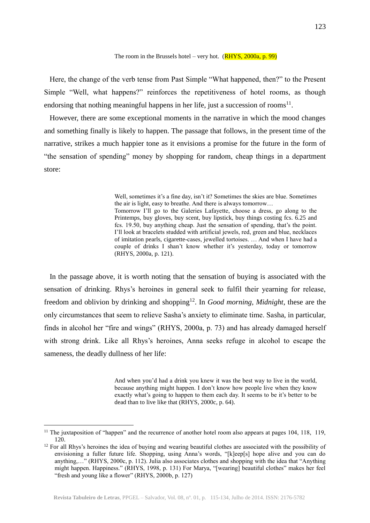### The room in the Brussels hotel – very hot.  $(RHYS, 2000a, p. 99)$

 Here, the change of the verb tense from Past Simple "What happened, then?" to the Present Simple "Well, what happens?" reinforces the repetitiveness of hotel rooms, as though endorsing that nothing meaningful happens in her life, just a succession of rooms<sup>11</sup>.

 However, there are some exceptional moments in the narrative in which the mood changes and something finally is likely to happen. The passage that follows, in the present time of the narrative, strikes a much happier tone as it envisions a promise for the future in the form of "the sensation of spending" money by shopping for random, cheap things in a department store:

> Well, sometimes it's a fine day, isn't it? Sometimes the skies are blue. Sometimes the air is light, easy to breathe. And there is always tomorrow… Tomorrow I'll go to the Galeries Lafayette, choose a dress, go along to the Printemps, buy gloves, buy scent, buy lipstick, buy things costing fcs. 6.25 and fcs. 19.50, buy anything cheap. Just the sensation of spending, that's the point. I'll look at bracelets studded with artificial jewels, red, green and blue, necklaces of imitation pearls, cigarette-cases, jewelled tortoises. … And when I have had a couple of drinks I shan't know whether it's yesterday, today or tomorrow (RHYS, 2000a, p. 121).

 In the passage above, it is worth noting that the sensation of buying is associated with the sensation of drinking. Rhys's heroines in general seek to fulfil their yearning for release, freedom and oblivion by drinking and shopping<sup>12</sup>. In *Good morning, Midnight*, these are the only circumstances that seem to relieve Sasha's anxiety to eliminate time. Sasha, in particular, finds in alcohol her "fire and wings" (RHYS, 2000a, p. 73) and has already damaged herself with strong drink. Like all Rhys's heroines, Anna seeks refuge in alcohol to escape the sameness, the deadly dullness of her life:

> And when you'd had a drink you knew it was the best way to live in the world, because anything might happen. I don't know how people live when they know exactly what's going to happen to them each day. It seems to be it's better to be dead than to live like that (RHYS, 2000c, p. 64).

**Revista Tabuleiro de Letras**, PPGEL – Salvador, Vol. 08, nº. 01, p. 115-134, Julho de 2014. ISSN: 2176-5782

 $\overline{a}$ <sup>11</sup> The juxtaposition of "happen" and the recurrence of another hotel room also appears at pages 104, 118, 119, 120.

 $12$  For all Rhys's heroines the idea of buying and wearing beautiful clothes are associated with the possibility of envisioning a fuller future life. Shopping, using Anna's words, "[k]eep[s] hope alive and you can do anything,…" (RHYS, 2000c, p. 112). Julia also associates clothes and shopping with the idea that "Anything might happen. Happiness." (RHYS, 1998, p. 131) For Marya, "[wearing] beautiful clothes" makes her feel "fresh and young like a flower" (RHYS, 2000b, p. 127)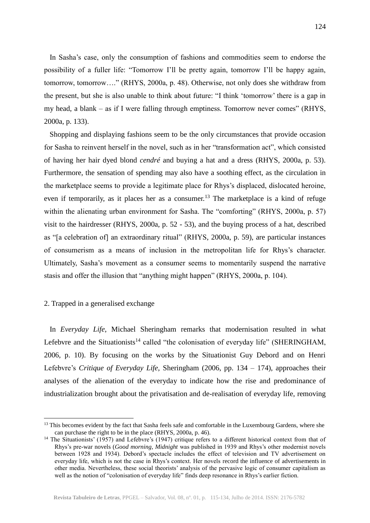In Sasha's case, only the consumption of fashions and commodities seem to endorse the possibility of a fuller life: "Tomorrow I'll be pretty again, tomorrow I'll be happy again, tomorrow, tomorrow…." (RHYS, 2000a, p. 48). Otherwise, not only does she withdraw from the present, but she is also unable to think about future: "I think 'tomorrow' there is a gap in my head, a blank – as if I were falling through emptiness. Tomorrow never comes" (RHYS, 2000a, p. 133).

 Shopping and displaying fashions seem to be the only circumstances that provide occasion for Sasha to reinvent herself in the novel, such as in her "transformation act", which consisted of having her hair dyed blond *cendré* and buying a hat and a dress (RHYS, 2000a, p. 53). Furthermore, the sensation of spending may also have a soothing effect, as the circulation in the marketplace seems to provide a legitimate place for Rhys's displaced, dislocated heroine, even if temporarily, as it places her as a consumer.<sup>13</sup> The marketplace is a kind of refuge within the alienating urban environment for Sasha. The "comforting" (RHYS, 2000a, p. 57) visit to the hairdresser (RHYS, 2000a, p. 52 - 53), and the buying process of a hat, described as "[a celebration of] an extraordinary ritual" (RHYS, 2000a, p. 59), are particular instances of consumerism as a means of inclusion in the metropolitan life for Rhys's character. Ultimately, Sasha's movement as a consumer seems to momentarily suspend the narrative stasis and offer the illusion that "anything might happen" (RHYS, 2000a, p. 104).

### 2. Trapped in a generalised exchange

 $\overline{a}$ 

 In *Everyday Life*, Michael Sheringham remarks that modernisation resulted in what Lefebvre and the Situationists<sup>14</sup> called "the colonisation of everyday life" (SHERINGHAM, 2006, p. 10). By focusing on the works by the Situationist Guy Debord and on Henri Lefebvre's *Critique of Everyday Life,* Sheringham (2006, pp. 134 – 174), approaches their analyses of the alienation of the everyday to indicate how the rise and predominance of industrialization brought about the privatisation and de-realisation of everyday life, removing

<sup>&</sup>lt;sup>13</sup> This becomes evident by the fact that Sasha feels safe and comfortable in the Luxembourg Gardens, where she can purchase the right to be in the place (RHYS, 2000a, p. 46).

<sup>&</sup>lt;sup>14</sup> The Situationists' (1957) and Lefebvre's (1947) critique refers to a different historical context from that of Rhys's pre-war novels (*Good morning, Midnight* was published in 1939 and Rhys's other modernist novels between 1928 and 1934). Debord's spectacle includes the effect of television and TV advertisement on everyday life, which is not the case in Rhys's context. Her novels record the influence of advertisements in other media. Nevertheless, these social theorists' analysis of the pervasive logic of consumer capitalism as well as the notion of "colonisation of everyday life" finds deep resonance in Rhys's earlier fiction.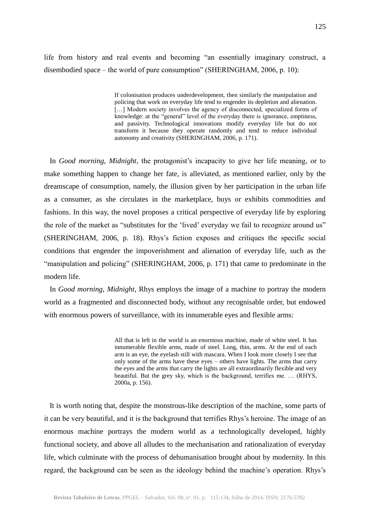life from history and real events and becoming "an essentially imaginary construct, a disembodied space – the world of pure consumption" (SHERINGHAM, 2006, p. 10):

> If colonisation produces underdevelopment, then similarly the manipulation and policing that work on everyday life tend to engender its depletion and alienation. [...] Modern society involves the agency of disconnected, specialized forms of knowledge: at the "general" level of the everyday there is ignorance, emptiness, and passivity. Technological innovations modify everyday life but do not transform it because they operate randomly and tend to reduce individual autonomy and creativity (SHERINGHAM, 2006, p. 171).

 In *Good morning, Midnight*, the protagonist's incapacity to give her life meaning, or to make something happen to change her fate, is alleviated, as mentioned earlier, only by the dreamscape of consumption, namely, the illusion given by her participation in the urban life as a consumer, as she circulates in the marketplace, buys or exhibits commodities and fashions. In this way, the novel proposes a critical perspective of everyday life by exploring the role of the market as "substitutes for the 'lived' everyday we fail to recognize around us" (SHERINGHAM, 2006, p. 18). Rhys's fiction exposes and critiques the specific social conditions that engender the impoverishment and alienation of everyday life, such as the "manipulation and policing" (SHERINGHAM, 2006, p. 171) that came to predominate in the modern life.

 In *Good morning, Midnight*, Rhys employs the image of a machine to portray the modern world as a fragmented and disconnected body, without any recognisable order, but endowed with enormous powers of surveillance, with its innumerable eyes and flexible arms:

> All that is left in the world is an enormous machine, made of white steel. It has innumerable flexible arms, made of steel. Long, thin, arms. At the end of each arm is an eye, the eyelash still with mascara. When I look more closely I see that only some of the arms have these eyes – others have lights. The arms that carry the eyes and the arms that carry the lights are all extraordinarily flexible and very beautiful. But the grey sky, which is the background, terrifies me. … (RHYS, 2000a, p. 156).

 It is worth noting that, despite the monstrous-like description of the machine, some parts of it can be very beautiful, and it is the background that terrifies Rhys's heroine. The image of an enormous machine portrays the modern world as a technologically developed, highly functional society, and above all alludes to the mechanisation and rationalization of everyday life, which culminate with the process of dehumanisation brought about by modernity. In this regard, the background can be seen as the ideology behind the machine's operation. Rhys's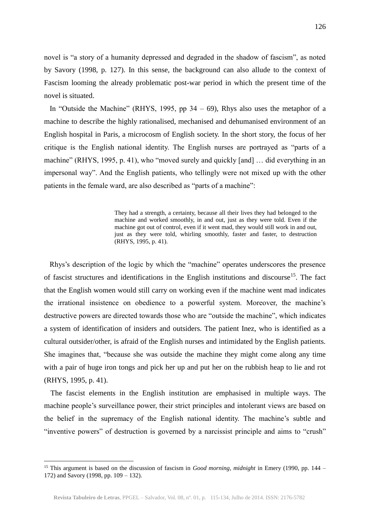novel is "a story of a humanity depressed and degraded in the shadow of fascism", as noted by Savory (1998, p. 127). In this sense, the background can also allude to the context of Fascism looming the already problematic post-war period in which the present time of the novel is situated.

In "Outside the Machine" (RHYS, 1995, pp  $34 - 69$ ), Rhys also uses the metaphor of a machine to describe the highly rationalised, mechanised and dehumanised environment of an English hospital in Paris, a microcosm of English society. In the short story, the focus of her critique is the English national identity. The English nurses are portrayed as "parts of a machine" (RHYS, 1995, p. 41), who "moved surely and quickly [and] … did everything in an impersonal way". And the English patients, who tellingly were not mixed up with the other patients in the female ward, are also described as "parts of a machine":

> They had a strength, a certainty, because all their lives they had belonged to the machine and worked smoothly, in and out, just as they were told. Even if the machine got out of control, even if it went mad, they would still work in and out, just as they were told, whirling smoothly, faster and faster, to destruction (RHYS, 1995, p. 41).

 Rhys's description of the logic by which the "machine" operates underscores the presence of fascist structures and identifications in the English institutions and discourse<sup>15</sup>. The fact that the English women would still carry on working even if the machine went mad indicates the irrational insistence on obedience to a powerful system. Moreover, the machine's destructive powers are directed towards those who are "outside the machine", which indicates a system of identification of insiders and outsiders. The patient Inez, who is identified as a cultural outsider/other, is afraid of the English nurses and intimidated by the English patients. She imagines that, "because she was outside the machine they might come along any time with a pair of huge iron tongs and pick her up and put her on the rubbish heap to lie and rot (RHYS, 1995, p. 41).

 The fascist elements in the English institution are emphasised in multiple ways. The machine people's surveillance power, their strict principles and intolerant views are based on the belief in the supremacy of the English national identity. The machine's subtle and "inventive powers" of destruction is governed by a narcissist principle and aims to "crush"

<sup>15</sup> This argument is based on the discussion of fascism in *Good morning, midnight* in Emery (1990, pp. 144 – 172) and Savory (1998, pp. 109 – 132).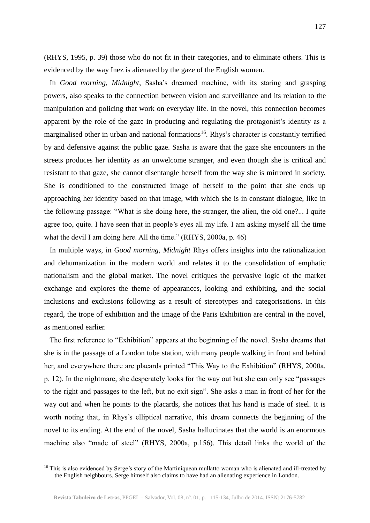(RHYS, 1995, p. 39) those who do not fit in their categories, and to eliminate others. This is evidenced by the way Inez is alienated by the gaze of the English women.

 In *Good morning, Midnight*, Sasha's dreamed machine, with its staring and grasping powers, also speaks to the connection between vision and surveillance and its relation to the manipulation and policing that work on everyday life. In the novel, this connection becomes apparent by the role of the gaze in producing and regulating the protagonist's identity as a marginalised other in urban and national formations<sup>16</sup>. Rhys's character is constantly terrified by and defensive against the public gaze. Sasha is aware that the gaze she encounters in the streets produces her identity as an unwelcome stranger, and even though she is critical and resistant to that gaze, she cannot disentangle herself from the way she is mirrored in society. She is conditioned to the constructed image of herself to the point that she ends up approaching her identity based on that image, with which she is in constant dialogue, like in the following passage: "What is she doing here, the stranger, the alien, the old one?... I quite agree too, quite. I have seen that in people's eyes all my life. I am asking myself all the time what the devil I am doing here. All the time." (RHYS, 2000a, p. 46)

 In multiple ways, in *Good morning, Midnight* Rhys offers insights into the rationalization and dehumanization in the modern world and relates it to the consolidation of emphatic nationalism and the global market. The novel critiques the pervasive logic of the market exchange and explores the theme of appearances, looking and exhibiting, and the social inclusions and exclusions following as a result of stereotypes and categorisations. In this regard, the trope of exhibition and the image of the Paris Exhibition are central in the novel, as mentioned earlier.

 The first reference to "Exhibition" appears at the beginning of the novel. Sasha dreams that she is in the passage of a London tube station, with many people walking in front and behind her, and everywhere there are placards printed "This Way to the Exhibition" (RHYS, 2000a, p. 12). In the nightmare, she desperately looks for the way out but she can only see "passages to the right and passages to the left, but no exit sign". She asks a man in front of her for the way out and when he points to the placards, she notices that his hand is made of steel. It is worth noting that, in Rhys's elliptical narrative, this dream connects the beginning of the novel to its ending. At the end of the novel, Sasha hallucinates that the world is an enormous machine also "made of steel" (RHYS, 2000a, p.156). This detail links the world of the

<sup>&</sup>lt;sup>16</sup> This is also evidenced by Serge's story of the Martiniquean mullatto woman who is alienated and ill-treated by the English neighbours. Serge himself also claims to have had an alienating experience in London.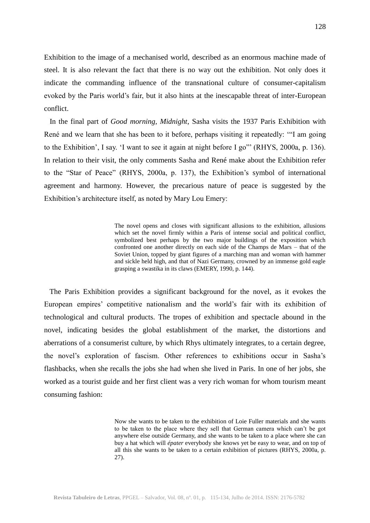Exhibition to the image of a mechanised world, described as an enormous machine made of steel. It is also relevant the fact that there is no way out the exhibition. Not only does it indicate the commanding influence of the transnational culture of consumer-capitalism evoked by the Paris world's fair, but it also hints at the inescapable threat of inter-European conflict.

 In the final part of *Good morning, Midnight*, Sasha visits the 1937 Paris Exhibition with René and we learn that she has been to it before, perhaps visiting it repeatedly: '"I am going to the Exhibition', I say. 'I want to see it again at night before I go"' (RHYS, 2000a, p. 136). In relation to their visit, the only comments Sasha and René make about the Exhibition refer to the "Star of Peace" (RHYS, 2000a, p. 137), the Exhibition's symbol of international agreement and harmony. However, the precarious nature of peace is suggested by the Exhibition's architecture itself, as noted by Mary Lou Emery:

> The novel opens and closes with significant allusions to the exhibition, allusions which set the novel firmly within a Paris of intense social and political conflict, symbolized best perhaps by the two major buildings of the exposition which confronted one another directly on each side of the Champs de Mars – that of the Soviet Union, topped by giant figures of a marching man and woman with hammer and sickle held high, and that of Nazi Germany, crowned by an immense gold eagle grasping a swastika in its claws (EMERY, 1990, p. 144).

 The Paris Exhibition provides a significant background for the novel, as it evokes the European empires' competitive nationalism and the world's fair with its exhibition of technological and cultural products. The tropes of exhibition and spectacle abound in the novel, indicating besides the global establishment of the market, the distortions and aberrations of a consumerist culture, by which Rhys ultimately integrates, to a certain degree, the novel's exploration of fascism. Other references to exhibitions occur in Sasha's flashbacks, when she recalls the jobs she had when she lived in Paris. In one of her jobs, she worked as a tourist guide and her first client was a very rich woman for whom tourism meant consuming fashion:

> Now she wants to be taken to the exhibition of Loie Fuller materials and she wants to be taken to the place where they sell that German camera which can't be got anywhere else outside Germany, and she wants to be taken to a place where she can buy a hat which will *épater* everybody she knows yet be easy to wear, and on top of all this she wants to be taken to a certain exhibition of pictures (RHYS, 2000a, p. 27).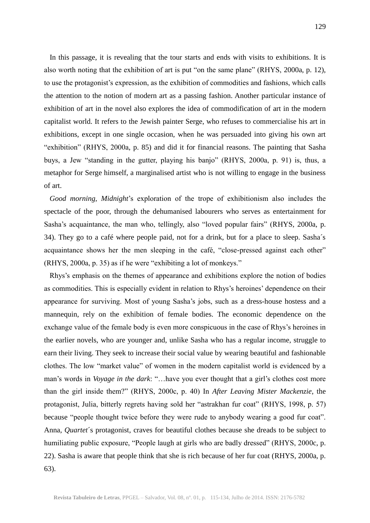In this passage, it is revealing that the tour starts and ends with visits to exhibitions. It is also worth noting that the exhibition of art is put "on the same plane" (RHYS, 2000a, p. 12), to use the protagonist's expression, as the exhibition of commodities and fashions, which calls the attention to the notion of modern art as a passing fashion. Another particular instance of exhibition of art in the novel also explores the idea of commodification of art in the modern capitalist world. It refers to the Jewish painter Serge, who refuses to commercialise his art in exhibitions, except in one single occasion, when he was persuaded into giving his own art "exhibition" (RHYS, 2000a, p. 85) and did it for financial reasons. The painting that Sasha buys, a Jew "standing in the gutter, playing his banjo" (RHYS, 2000a, p. 91) is, thus, a metaphor for Serge himself, a marginalised artist who is not willing to engage in the business of art.

 *Good morning, Midnight*'s exploration of the trope of exhibitionism also includes the spectacle of the poor, through the dehumanised labourers who serves as entertainment for Sasha's acquaintance, the man who, tellingly, also "loved popular fairs" (RHYS, 2000a, p. 34). They go to a café where people paid, not for a drink, but for a place to sleep. Sasha´s acquaintance shows her the men sleeping in the café, "close-pressed against each other" (RHYS, 2000a, p. 35) as if he were "exhibiting a lot of monkeys."

 Rhys's emphasis on the themes of appearance and exhibitions explore the notion of bodies as commodities. This is especially evident in relation to Rhys's heroines' dependence on their appearance for surviving. Most of young Sasha's jobs, such as a dress-house hostess and a mannequin, rely on the exhibition of female bodies. The economic dependence on the exchange value of the female body is even more conspicuous in the case of Rhys's heroines in the earlier novels, who are younger and, unlike Sasha who has a regular income, struggle to earn their living. They seek to increase their social value by wearing beautiful and fashionable clothes. The low "market value" of women in the modern capitalist world is evidenced by a man's words in *Voyage in the dark*: "…have you ever thought that a girl's clothes cost more than the girl inside them?" (RHYS, 2000c, p. 40) In *After Leaving Mister Mackenzie*, the protagonist, Julia, bitterly regrets having sold her "astrakhan fur coat" (RHYS, 1998, p. 57) because "people thought twice before they were rude to anybody wearing a good fur coat". Anna, *Quartet*´s protagonist, craves for beautiful clothes because she dreads to be subject to humiliating public exposure, "People laugh at girls who are badly dressed" (RHYS, 2000c, p. 22). Sasha is aware that people think that she is rich because of her fur coat (RHYS, 2000a, p. 63).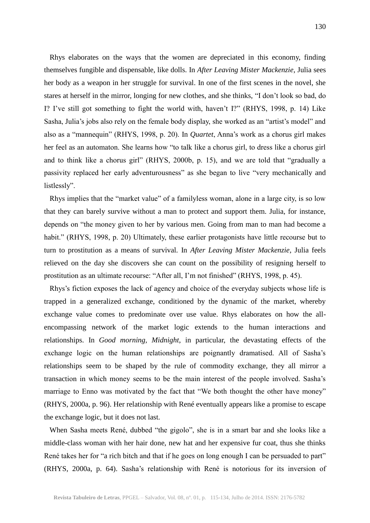Rhys elaborates on the ways that the women are depreciated in this economy, finding themselves fungible and dispensable, like dolls. In *After Leaving Mister Mackenzie*, Julia sees her body as a weapon in her struggle for survival. In one of the first scenes in the novel, she stares at herself in the mirror, longing for new clothes, and she thinks, "I don't look so bad, do I? I've still got something to fight the world with, haven't I?" (RHYS, 1998, p. 14) Like Sasha, Julia's jobs also rely on the female body display, she worked as an "artist's model" and also as a "mannequin" (RHYS, 1998, p. 20). In *Quartet*, Anna's work as a chorus girl makes her feel as an automaton. She learns how "to talk like a chorus girl, to dress like a chorus girl and to think like a chorus girl" (RHYS, 2000b, p. 15), and we are told that "gradually a passivity replaced her early adventurousness" as she began to live "very mechanically and listlessly".

 Rhys implies that the "market value" of a familyless woman, alone in a large city, is so low that they can barely survive without a man to protect and support them. Julia, for instance, depends on "the money given to her by various men. Going from man to man had become a habit." (RHYS, 1998, p. 20) Ultimately, these earlier protagonists have little recourse but to turn to prostitution as a means of survival. In *After Leaving Mister Mackenzie*, Julia feels relieved on the day she discovers she can count on the possibility of resigning herself to prostitution as an ultimate recourse: "After all, I'm not finished" (RHYS, 1998, p. 45).

 Rhys's fiction exposes the lack of agency and choice of the everyday subjects whose life is trapped in a generalized exchange, conditioned by the dynamic of the market, whereby exchange value comes to predominate over use value. Rhys elaborates on how the allencompassing network of the market logic extends to the human interactions and relationships. In *Good morning, Midnight*, in particular, the devastating effects of the exchange logic on the human relationships are poignantly dramatised. All of Sasha's relationships seem to be shaped by the rule of commodity exchange, they all mirror a transaction in which money seems to be the main interest of the people involved. Sasha's marriage to Enno was motivated by the fact that "We both thought the other have money" (RHYS, 2000a, p. 96). Her relationship with René eventually appears like a promise to escape the exchange logic, but it does not last.

 When Sasha meets René, dubbed "the gigolo", she is in a smart bar and she looks like a middle-class woman with her hair done, new hat and her expensive fur coat, thus she thinks René takes her for "a rich bitch and that if he goes on long enough I can be persuaded to part" (RHYS, 2000a, p. 64). Sasha's relationship with René is notorious for its inversion of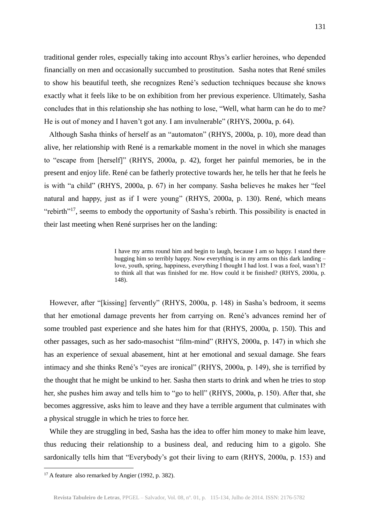traditional gender roles*,* especially taking into account Rhys's earlier heroines, who depended financially on men and occasionally succumbed to prostitution. Sasha notes that René smiles to show his beautiful teeth, she recognizes René's seduction techniques because she knows exactly what it feels like to be on exhibition from her previous experience. Ultimately, Sasha concludes that in this relationship she has nothing to lose, "Well, what harm can he do to me? He is out of money and I haven't got any. I am invulnerable" (RHYS, 2000a, p. 64).

 Although Sasha thinks of herself as an "automaton" (RHYS, 2000a, p. 10), more dead than alive, her relationship with René is a remarkable moment in the novel in which she manages to "escape from [herself]" (RHYS, 2000a, p. 42), forget her painful memories, be in the present and enjoy life. René can be fatherly protective towards her, he tells her that he feels he is with "a child" (RHYS, 2000a, p. 67) in her company. Sasha believes he makes her "feel natural and happy, just as if I were young" (RHYS, 2000a, p. 130). René, which means "rebirth"<sup>17</sup>, seems to embody the opportunity of Sasha's rebirth. This possibility is enacted in their last meeting when René surprises her on the landing:

> I have my arms round him and begin to laugh, because I am so happy. I stand there hugging him so terribly happy. Now everything is in my arms on this dark landing – love, youth, spring, happiness, everything I thought I had lost. I was a fool, wasn't I? to think all that was finished for me. How could it be finished? (RHYS, 2000a, p. 148).

 However, after "[kissing] fervently" (RHYS, 2000a, p. 148) in Sasha's bedroom, it seems that her emotional damage prevents her from carrying on. René's advances remind her of some troubled past experience and she hates him for that (RHYS, 2000a, p. 150). This and other passages, such as her sado-masochist "film-mind" (RHYS, 2000a, p. 147) in which she has an experience of sexual abasement, hint at her emotional and sexual damage. She fears intimacy and she thinks René's "eyes are ironical" (RHYS, 2000a, p. 149), she is terrified by the thought that he might be unkind to her. Sasha then starts to drink and when he tries to stop her, she pushes him away and tells him to "go to hell" (RHYS, 2000a, p. 150). After that, she becomes aggressive, asks him to leave and they have a terrible argument that culminates with a physical struggle in which he tries to force her.

While they are struggling in bed, Sasha has the idea to offer him money to make him leave, thus reducing their relationship to a business deal, and reducing him to a gigolo. She sardonically tells him that "Everybody's got their living to earn (RHYS, 2000a, p. 153) and

 $17$  A feature also remarked by Angier (1992, p. 382).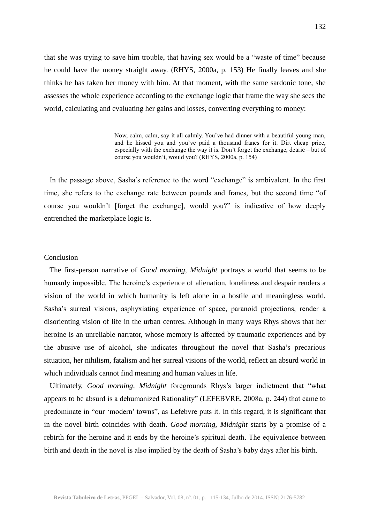that she was trying to save him trouble, that having sex would be a "waste of time" because he could have the money straight away. (RHYS, 2000a, p. 153) He finally leaves and she thinks he has taken her money with him. At that moment, with the same sardonic tone, she assesses the whole experience according to the exchange logic that frame the way she sees the world, calculating and evaluating her gains and losses, converting everything to money:

> Now, calm, calm, say it all calmly. You've had dinner with a beautiful young man, and he kissed you and you've paid a thousand francs for it. Dirt cheap price, especially with the exchange the way it is. Don't forget the exchange, dearie – but of course you wouldn't, would you? (RHYS, 2000a, p. 154)

 In the passage above, Sasha's reference to the word "exchange" is ambivalent. In the first time, she refers to the exchange rate between pounds and francs, but the second time "of course you wouldn't [forget the exchange], would you?" is indicative of how deeply entrenched the marketplace logic is.

# Conclusion

 The first-person narrative of *Good morning, Midnight* portrays a world that seems to be humanly impossible. The heroine's experience of alienation, loneliness and despair renders a vision of the world in which humanity is left alone in a hostile and meaningless world. Sasha's surreal visions, asphyxiating experience of space, paranoid projections, render a disorienting vision of life in the urban centres. Although in many ways Rhys shows that her heroine is an unreliable narrator, whose memory is affected by traumatic experiences and by the abusive use of alcohol, she indicates throughout the novel that Sasha's precarious situation, her nihilism, fatalism and her surreal visions of the world, reflect an absurd world in which individuals cannot find meaning and human values in life.

 Ultimately, *Good morning, Midnight* foregrounds Rhys's larger indictment that "what appears to be absurd is a dehumanized Rationality" (LEFEBVRE, 2008a, p. 244) that came to predominate in "our 'modern' towns", as Lefebvre puts it. In this regard, it is significant that in the novel birth coincides with death. *Good morning, Midnight* starts by a promise of a rebirth for the heroine and it ends by the heroine's spiritual death. The equivalence between birth and death in the novel is also implied by the death of Sasha's baby days after his birth.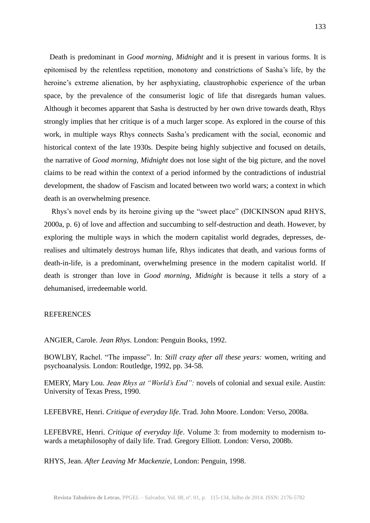Death is predominant in *Good morning, Midnight* and it is present in various forms. It is epitomised by the relentless repetition, monotony and constrictions of Sasha's life, by the heroine's extreme alienation, by her asphyxiating, claustrophobic experience of the urban space, by the prevalence of the consumerist logic of life that disregards human values. Although it becomes apparent that Sasha is destructed by her own drive towards death, Rhys strongly implies that her critique is of a much larger scope. As explored in the course of this work, in multiple ways Rhys connects Sasha's predicament with the social, economic and historical context of the late 1930s. Despite being highly subjective and focused on details, the narrative of *Good morning, Midnight* does not lose sight of the big picture, and the novel claims to be read within the context of a period informed by the contradictions of industrial development, the shadow of Fascism and located between two world wars; a context in which death is an overwhelming presence.

 Rhys's novel ends by its heroine giving up the "sweet place" (DICKINSON apud RHYS, 2000a, p. 6) of love and affection and succumbing to self-destruction and death. However, by exploring the multiple ways in which the modern capitalist world degrades, depresses, derealises and ultimately destroys human life, Rhys indicates that death, and various forms of death-in-life, is a predominant, overwhelming presence in the modern capitalist world. If death is stronger than love in *Good morning, Midnight* is because it tells a story of a dehumanised, irredeemable world.

#### **REFERENCES**

ANGIER, Carole. *Jean Rhys*. London: Penguin Books, 1992.

BOWLBY, Rachel. "The impasse". In: *Still crazy after all these years:* women, writing and psychoanalysis*.* London: Routledge, 1992, pp. 34-58.

EMERY, Mary Lou. *Jean Rhys at "World's End":* novels of colonial and sexual exile. Austin: University of Texas Press, 1990.

LEFEBVRE, Henri. *Critique of everyday life*. Trad. John Moore. London: Verso, 2008a.

LEFEBVRE, Henri. *Critique of everyday life*. Volume 3: from modernity to modernism towards a metaphilosophy of daily life. Trad. Gregory Elliott. London: Verso, 2008b.

RHYS, Jean. *After Leaving Mr Mackenzie,* London: Penguin, 1998.